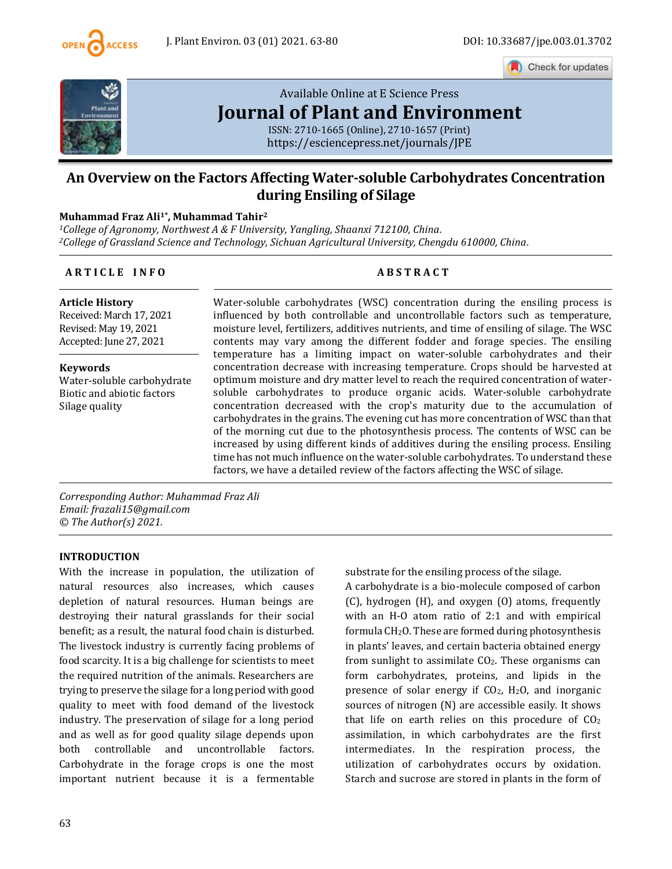

Check for updates



# [Available Online at E](https://esciencepress.net/journals/JPE) Science Press **[Journal of Plant and Environment](https://esciencepress.net/journals/JPE)**

ISSN: 2710-1665 (Online), 2710-1657 (Print) <https://esciencepress.net/journals/JPE>

# **An Overview on the Factors Affecting Water-soluble Carbohydrates Concentration during Ensiling of Silage**

#### **Muhammad Fraz Ali1\* , Muhammad Tahir<sup>2</sup>**

*<sup>1</sup>College of Agronomy, Northwest A & F University, Yangling, Shaanxi 712100, China. <sup>2</sup>College of Grassland Science and Technology, Sichuan Agricultural University, Chengdu 610000, China.*

#### **A R T I C L E I N F O A B S T R A C T**

**Article History** Received: March 17, 2021 Revised: May 19, 2021 Accepted: June 27, 2021

**Keywords** Water-soluble carbohydrate Biotic and abiotic factors Silage quality

Water-soluble carbohydrates (WSC) concentration during the ensiling process is influenced by both controllable and uncontrollable factors such as temperature, moisture level, fertilizers, additives nutrients, and time of ensiling of silage. The WSC contents may vary among the different fodder and forage species. The ensiling temperature has a limiting impact on water-soluble carbohydrates and their concentration decrease with increasing temperature. Crops should be harvested at optimum moisture and dry matter level to reach the required concentration of watersoluble carbohydrates to produce organic acids. Water-soluble carbohydrate concentration decreased with the crop's maturity due to the accumulation of carbohydrates in the grains. The evening cut has more concentration of WSC than that of the morning cut due to the photosynthesis process. The contents of WSC can be increased by using different kinds of additives during the ensiling process. Ensiling time has not much influence on the water-soluble carbohydrates. To understand these factors, we have a detailed review of the factors affecting the WSC of silage.

*Corresponding Author: Muhammad Fraz Ali Email: frazali15@gmail.com © The Author(s) 2021.*

#### **INTRODUCTION**

With the increase in population, the utilization of natural resources also increases, which causes depletion of natural resources. Human beings are destroying their natural grasslands for their social benefit; as a result, the natural food chain is disturbed. The livestock industry is currently facing problems of food scarcity. It is a big challenge for scientists to meet the required nutrition of the animals. Researchers are trying to preserve the silage for a long period with good quality to meet with food demand of the livestock industry. The preservation of silage for a long period and as well as for good quality silage depends upon both controllable and uncontrollable factors. Carbohydrate in the forage crops is one the most important nutrient because it is a fermentable substrate for the ensiling process of the silage.

A carbohydrate is a bio-molecule composed of carbon (C), hydrogen (H), and oxygen (O) atoms, frequently with an H-O atom ratio of 2:1 and with empirical formula  $CH<sub>2</sub>O$ . These are formed during photosynthesis in plants' leaves, and certain bacteria obtained energy from sunlight to assimilate  $CO<sub>2</sub>$ . These organisms can form carbohydrates, proteins, and lipids in the presence of solar energy if  $CO<sub>2</sub>$ , H<sub>2</sub>O, and inorganic sources of nitrogen (N) are accessible easily. It shows that life on earth relies on this procedure of  $CO<sub>2</sub>$ assimilation, in which carbohydrates are the first intermediates. In the respiration process, the utilization of carbohydrates occurs by oxidation. Starch and sucrose are stored in plants in the form of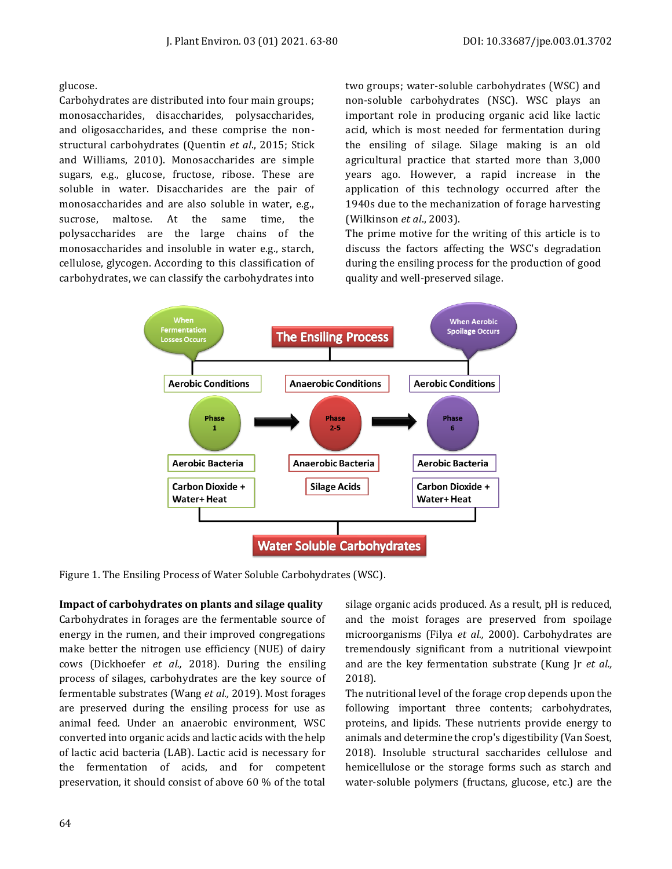glucose.

Carbohydrates are distributed into four main groups; monosaccharides, disaccharides, polysaccharides, and oligosaccharides, and these comprise the nonstructural carbohydrates (Quentin *et al*., 2015; Stick and Williams, 2010). Monosaccharides are simple sugars, e.g., glucose, fructose, ribose. These are soluble in water. Disaccharides are the pair of monosaccharides and are also soluble in water, e.g., sucrose, maltose. At the same time, the polysaccharides are the large chains of the monosaccharides and insoluble in water e.g., starch, cellulose, glycogen. According to this classification of carbohydrates, we can classify the carbohydrates into

two groups; water-soluble carbohydrates (WSC) and non-soluble carbohydrates (NSC). WSC plays an important role in producing organic acid like lactic acid, which is most needed for fermentation during the ensiling of silage. Silage making is an old agricultural practice that started more than 3,000 years ago. However, a rapid increase in the application of this technology occurred after the 1940s due to the mechanization of forage harvesting (Wilkinson *et al*., 2003).

The prime motive for the writing of this article is to discuss the factors affecting the WSC's degradation during the ensiling process for the production of good quality and well-preserved silage.



Figure 1. The Ensiling Process of Water Soluble Carbohydrates (WSC).

**Impact of carbohydrates on plants and silage quality**

Carbohydrates in forages are the fermentable source of energy in the rumen, and their improved congregations make better the nitrogen use efficiency (NUE) of dairy cows (Dickhoefer *et al.,* 2018). During the ensiling process of silages, carbohydrates are the key source of fermentable substrates (Wang *et al.,* 2019). Most forages are preserved during the ensiling process for use as animal feed. Under an anaerobic environment, WSC converted into organic acids and lactic acids with the help of lactic acid bacteria (LAB). Lactic acid is necessary for the fermentation of acids, and for competent preservation, it should consist of above 60 % of the total

silage organic acids produced. As a result, pH is reduced, and the moist forages are preserved from spoilage microorganisms (Filya *et al.,* 2000). Carbohydrates are tremendously significant from a nutritional viewpoint and are the key fermentation substrate (Kung Jr *et al.,* 2018).

The nutritional level of the forage crop depends upon the following important three contents; carbohydrates, proteins, and lipids. These nutrients provide energy to animals and determine the crop's digestibility (Van Soest, 2018). Insoluble structural saccharides cellulose and hemicellulose or the storage forms such as starch and water-soluble polymers (fructans, glucose, etc.) are the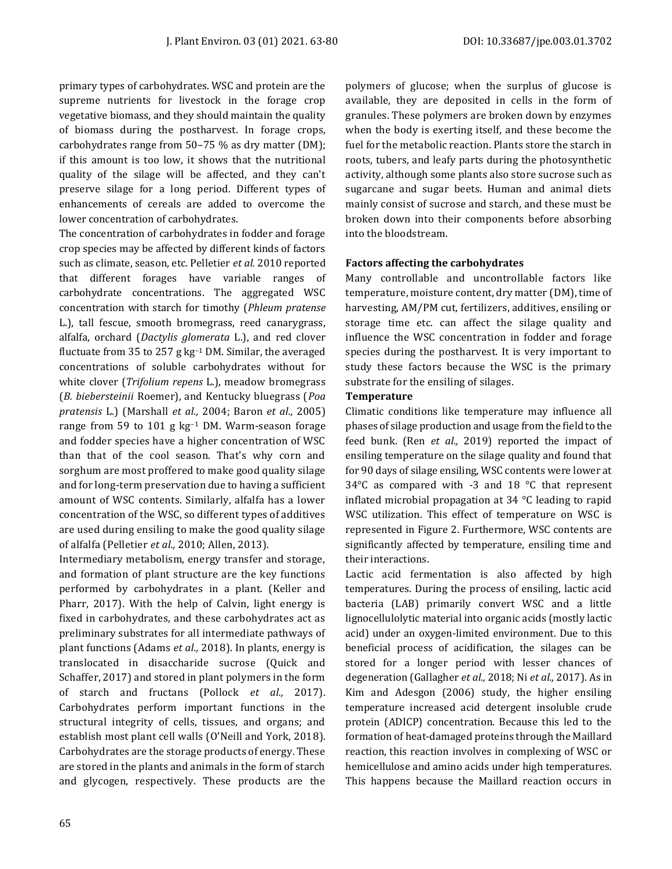primary types of carbohydrates. WSC and protein are the supreme nutrients for livestock in the forage crop vegetative biomass, and they should maintain the quality of biomass during the postharvest. In forage crops, carbohydrates range from 50–75 % as dry matter (DM); if this amount is too low, it shows that the nutritional quality of the silage will be affected, and they can't preserve silage for a long period. Different types of enhancements of cereals are added to overcome the lower concentration of carbohydrates.

The concentration of carbohydrates in fodder and forage crop species may be affected by different kinds of factors such as climate, season, etc. Pelletier *et al.* 2010 reported that different forages have variable ranges of carbohydrate concentrations. The aggregated WSC concentration with starch for timothy (*Phleum pratense* L.), tall fescue, smooth bromegrass, reed canarygrass, alfalfa, orchard (*Dactylis glomerata* L.), and red clover fluctuate from 35 to 257 g kg–<sup>1</sup> DM. Similar, the averaged concentrations of soluble carbohydrates without for white clover (*Trifolium repens* L.), meadow bromegrass (*B. biebersteinii* Roemer), and Kentucky bluegrass (*Poa pratensis* L.) (Marshall *et al.,* 2004; Baron *et al.,* 2005) range from 59 to 101 g kg–<sup>1</sup> DM. Warm-season forage and fodder species have a higher concentration of WSC than that of the cool season. That's why corn and sorghum are most proffered to make good quality silage and for long-term preservation due to having a sufficient amount of WSC contents. Similarly, alfalfa has a lower concentration of the WSC, so different types of additives are used during ensiling to make the good quality silage of alfalfa (Pelletier *et al.,* 2010; Allen, 2013).

Intermediary metabolism, energy transfer and storage, and formation of plant structure are the key functions performed by carbohydrates in a plant. (Keller and Pharr, 2017). With the help of Calvin, light energy is fixed in carbohydrates, and these carbohydrates act as preliminary substrates for all intermediate pathways of plant functions (Adams *et al.,* 2018). In plants, energy is translocated in disaccharide sucrose (Quick and Schaffer, 2017) and stored in plant polymers in the form of starch and fructans (Pollock *et al.,* 2017). Carbohydrates perform important functions in the structural integrity of cells, tissues, and organs; and establish most plant cell walls (O'Neill and York, 2018). Carbohydrates are the storage products of energy. These are stored in the plants and animals in the form of starch and glycogen, respectively. These products are the polymers of glucose; when the surplus of glucose is available, they are deposited in cells in the form of granules. These polymers are broken down by enzymes when the body is exerting itself, and these become the fuel for the metabolic reaction. Plants store the starch in roots, tubers, and leafy parts during the photosynthetic activity, although some plants also store sucrose such as sugarcane and sugar beets. Human and animal diets mainly consist of sucrose and starch, and these must be broken down into their components before absorbing into the bloodstream.

## **Factors affecting the carbohydrates**

Many controllable and uncontrollable factors like temperature, moisture content, dry matter (DM), time of harvesting, AM/PM cut, fertilizers, additives, ensiling or storage time etc. can affect the silage quality and influence the WSC concentration in fodder and forage species during the postharvest. It is very important to study these factors because the WSC is the primary substrate for the ensiling of silages.

## **Temperature**

Climatic conditions like temperature may influence all phases of silage production and usage from the field to the feed bunk. (Ren *et al.,* 2019) reported the impact of ensiling temperature on the silage quality and found that for 90 days of silage ensiling, WSC contents were lower at 34°C as compared with -3 and 18 °C that represent inflated microbial propagation at 34 °C leading to rapid WSC utilization. This effect of temperature on WSC is represented in Figure 2. Furthermore, WSC contents are significantly affected by temperature, ensiling time and their interactions.

Lactic acid fermentation is also affected by high temperatures. During the process of ensiling, lactic acid bacteria (LAB) primarily convert WSC and a little lignocellulolytic material into organic acids (mostly lactic acid) under an oxygen-limited environment. Due to this beneficial process of acidification, the silages can be stored for a longer period with lesser chances of degeneration (Gallagher *et al.,* 2018; Ni *et al.,* 2017). As in Kim and Adesgon (2006) study, the higher ensiling temperature increased acid detergent insoluble crude protein (ADICP) concentration. Because this led to the formation of heat-damaged proteins through the Maillard reaction, this reaction involves in complexing of WSC or hemicellulose and amino acids under high temperatures. This happens because the Maillard reaction occurs in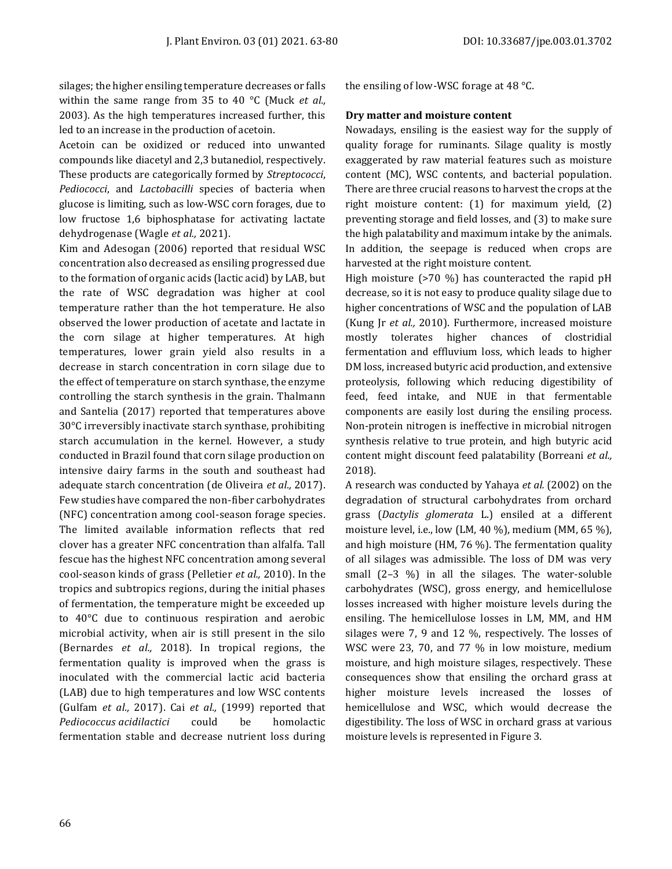silages; the higher ensiling temperature decreases or falls within the same range from 35 to 40 °C (Muck *et al.,* 2003). As the high temperatures increased further, this led to an increase in the production of acetoin.

Acetoin can be oxidized or reduced into unwanted compounds like diacetyl and 2,3 butanediol, respectively. These products are categorically formed by *Streptococci*, *Pediococci*, and *Lactobacilli* species of bacteria when glucose is limiting, such as low-WSC corn forages, due to low fructose 1,6 biphosphatase for activating lactate dehydrogenase (Wagle *et al.,* 2021).

Kim and Adesogan (2006) reported that residual WSC concentration also decreased as ensiling progressed due to the formation of organic acids (lactic acid) by LAB, but the rate of WSC degradation was higher at cool temperature rather than the hot temperature. He also observed the lower production of acetate and lactate in the corn silage at higher temperatures. At high temperatures, lower grain yield also results in a decrease in starch concentration in corn silage due to the effect of temperature on starch synthase, the enzyme controlling the starch synthesis in the grain. Thalmann and Santelia (2017) reported that temperatures above 30°C irreversibly inactivate starch synthase, prohibiting starch accumulation in the kernel. However, a study conducted in Brazil found that corn silage production on intensive dairy farms in the south and southeast had adequate starch concentration (de Oliveira *et al.,* 2017). Few studies have compared the non-fiber carbohydrates (NFC) concentration among cool-season forage species. The limited available information reflects that red clover has a greater NFC concentration than alfalfa. Tall fescue has the highest NFC concentration among several cool-season kinds of grass (Pelletier *et al.,* 2010). In the tropics and subtropics regions, during the initial phases of fermentation, the temperature might be exceeded up to 40°C due to continuous respiration and aerobic microbial activity, when air is still present in the silo (Bernardes *et al.,* 2018). In tropical regions, the fermentation quality is improved when the grass is inoculated with the commercial lactic acid bacteria (LAB) due to high temperatures and low WSC contents (Gulfam *et al.,* 2017). Cai *et al.,* (1999) reported that *Pediococcus acidilactici* could be homolactic fermentation stable and decrease nutrient loss during the ensiling of low-WSC forage at 48 °C.

#### **Dry matter and moisture content**

Nowadays, ensiling is the easiest way for the supply of quality forage for ruminants. Silage quality is mostly exaggerated by raw material features such as moisture content (MC), WSC contents, and bacterial population. There are three crucial reasons to harvest the crops at the right moisture content: (1) for maximum yield, (2) preventing storage and field losses, and (3) to make sure the high palatability and maximum intake by the animals. In addition, the seepage is reduced when crops are harvested at the right moisture content.

High moisture (>70 %) has counteracted the rapid pH decrease, so it is not easy to produce quality silage due to higher concentrations of WSC and the population of LAB (Kung Jr *et al.,* 2010). Furthermore, increased moisture mostly tolerates higher chances of clostridial fermentation and effluvium loss, which leads to higher DM loss, increased butyric acid production, and extensive proteolysis, following which reducing digestibility of feed, feed intake, and NUE in that fermentable components are easily lost during the ensiling process. Non-protein nitrogen is ineffective in microbial nitrogen synthesis relative to true protein, and high butyric acid content might discount feed palatability (Borreani *et al.,* 2018).

A research was conducted by Yahaya *et al.* (2002) on the degradation of structural carbohydrates from orchard grass (*Dactylis glomerata* L.) ensiled at a different moisture level, i.e., low (LM, 40 %), medium (MM, 65 %), and high moisture (HM, 76 %). The fermentation quality of all silages was admissible. The loss of DM was very small (2–3 %) in all the silages. The water-soluble carbohydrates (WSC), gross energy, and hemicellulose losses increased with higher moisture levels during the ensiling. The hemicellulose losses in LM, MM, and HM silages were 7, 9 and 12 %, respectively. The losses of WSC were 23, 70, and 77 % in low moisture, medium moisture, and high moisture silages, respectively. These consequences show that ensiling the orchard grass at higher moisture levels increased the losses of hemicellulose and WSC, which would decrease the digestibility. The loss of WSC in orchard grass at various moisture levels is represented in Figure 3.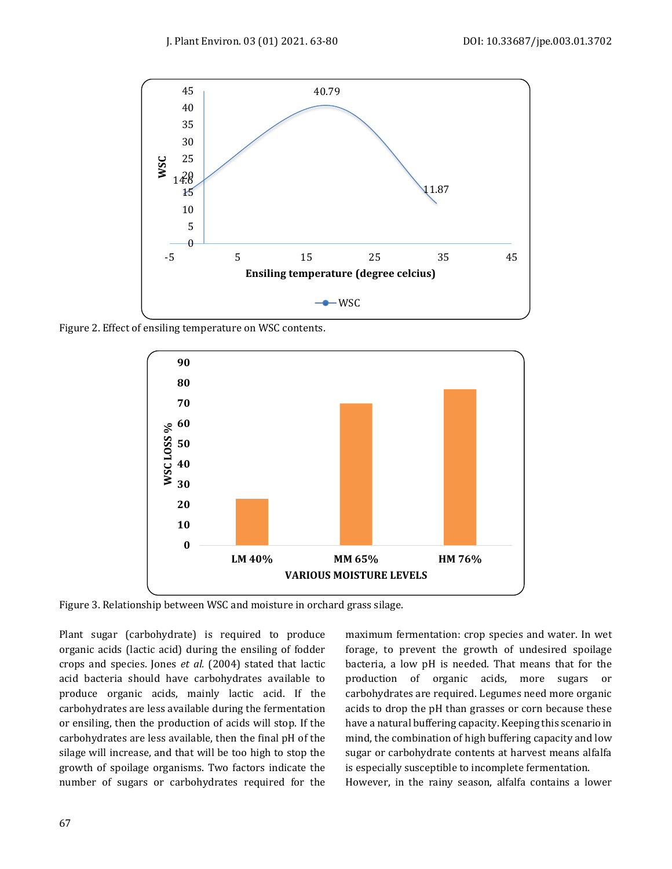

Figure 2. Effect of ensiling temperature on WSC contents.



Figure 3. Relationship between WSC and moisture in orchard grass silage.

Plant sugar (carbohydrate) is required to produce organic acids (lactic acid) during the ensiling of fodder crops and species. Jones *et al.* (2004) stated that lactic acid bacteria should have carbohydrates available to produce organic acids, mainly lactic acid. If the carbohydrates are less available during the fermentation or ensiling, then the production of acids will stop. If the carbohydrates are less available, then the final pH of the silage will increase, and that will be too high to stop the growth of spoilage organisms. Two factors indicate the number of sugars or carbohydrates required for the

maximum fermentation: crop species and water. In wet forage, to prevent the growth of undesired spoilage bacteria, a low pH is needed. That means that for the production of organic acids, more sugars or carbohydrates are required. Legumes need more organic acids to drop the pH than grasses or corn because these have a natural buffering capacity. Keeping this scenario in mind, the combination of high buffering capacity and low sugar or carbohydrate contents at harvest means alfalfa is especially susceptible to incomplete fermentation.

However, in the rainy season, alfalfa contains a lower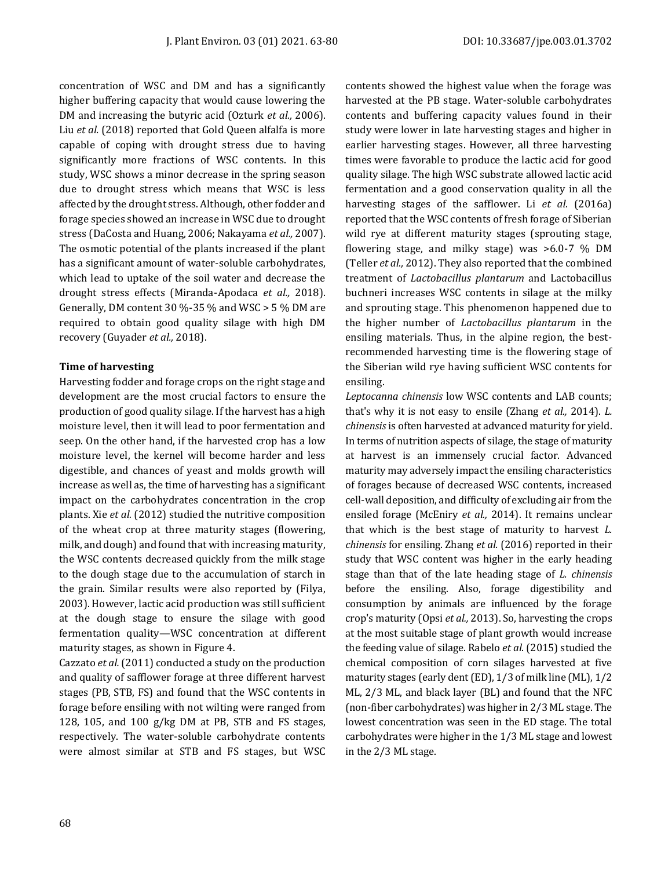concentration of WSC and DM and has a significantly higher buffering capacity that would cause lowering the DM and increasing the butyric acid (Ozturk *et al.,* 2006). Liu *et al.* (2018) reported that Gold Queen alfalfa is more capable of coping with drought stress due to having significantly more fractions of WSC contents. In this study, WSC shows a minor decrease in the spring season due to drought stress which means that WSC is less affected by the drought stress. Although, other fodder and forage species showed an increase in WSC due to drought stress (DaCosta and Huang, 2006; Nakayama *et al.,* 2007). The osmotic potential of the plants increased if the plant has a significant amount of water-soluble carbohydrates, which lead to uptake of the soil water and decrease the drought stress effects (Miranda-Apodaca *et al.,* 2018). Generally, DM content 30 %-35 % and WSC > 5 % DM are required to obtain good quality silage with high DM recovery (Guyader *et al.,* 2018).

#### **Time of harvesting**

Harvesting fodder and forage crops on the right stage and development are the most crucial factors to ensure the production of good quality silage. If the harvest has a high moisture level, then it will lead to poor fermentation and seep. On the other hand, if the harvested crop has a low moisture level, the kernel will become harder and less digestible, and chances of yeast and molds growth will increase as well as, the time of harvesting has a significant impact on the carbohydrates concentration in the crop plants. Xie *et al.* (2012) studied the nutritive composition of the wheat crop at three maturity stages (flowering, milk, and dough) and found that with increasing maturity, the WSC contents decreased quickly from the milk stage to the dough stage due to the accumulation of starch in the grain. Similar results were also reported by (Filya, 2003). However, lactic acid production was still sufficient at the dough stage to ensure the silage with good fermentation quality—WSC concentration at different maturity stages, as shown in Figure 4.

Cazzato *et al.*(2011) conducted a study on the production and quality of safflower forage at three different harvest stages (PB, STB, FS) and found that the WSC contents in forage before ensiling with not wilting were ranged from 128, 105, and 100 g/kg DM at PB, STB and FS stages, respectively. The water-soluble carbohydrate contents were almost similar at STB and FS stages, but WSC contents showed the highest value when the forage was harvested at the PB stage. Water-soluble carbohydrates contents and buffering capacity values found in their study were lower in late harvesting stages and higher in earlier harvesting stages. However, all three harvesting times were favorable to produce the lactic acid for good quality silage. The high WSC substrate allowed lactic acid fermentation and a good conservation quality in all the harvesting stages of the safflower. Li *et al.* (2016a) reported that the WSC contents of fresh forage of Siberian wild rye at different maturity stages (sprouting stage, flowering stage, and milky stage) was >6.0-7 % DM (Teller *et al.,* 2012). They also reported that the combined treatment of *Lactobacillus plantarum* and Lactobacillus buchneri increases WSC contents in silage at the milky and sprouting stage. This phenomenon happened due to the higher number of *Lactobacillus plantarum* in the ensiling materials. Thus, in the alpine region, the bestrecommended harvesting time is the flowering stage of the Siberian wild rye having sufficient WSC contents for ensiling.

*Leptocanna chinensis* low WSC contents and LAB counts; that's why it is not easy to ensile (Zhang *et al.,* 2014). *L. chinensis* is often harvested at advanced maturity for yield. In terms of nutrition aspects of silage, the stage of maturity at harvest is an immensely crucial factor. Advanced maturity may adversely impact the ensiling characteristics of forages because of decreased WSC contents, increased cell-wall deposition, and difficulty of excluding air from the ensiled forage (McEniry *et al.,* 2014). It remains unclear that which is the best stage of maturity to harvest *L. chinensis* for ensiling. Zhang *et al.* (2016) reported in their study that WSC content was higher in the early heading stage than that of the late heading stage of *L. chinensis* before the ensiling. Also, forage digestibility and consumption by animals are influenced by the forage crop's maturity (Opsi *et al.,* 2013). So, harvesting the crops at the most suitable stage of plant growth would increase the feeding value of silage. Rabelo *et al*. (2015) studied the chemical composition of corn silages harvested at five maturity stages (early dent (ED), 1/3 of milk line (ML), 1/2 ML, 2/3 ML, and black layer (BL) and found that the NFC (non-fiber carbohydrates) was higher in 2/3 ML stage. The lowest concentration was seen in the ED stage. The total carbohydrates were higher in the 1/3 ML stage and lowest in the 2/3 ML stage.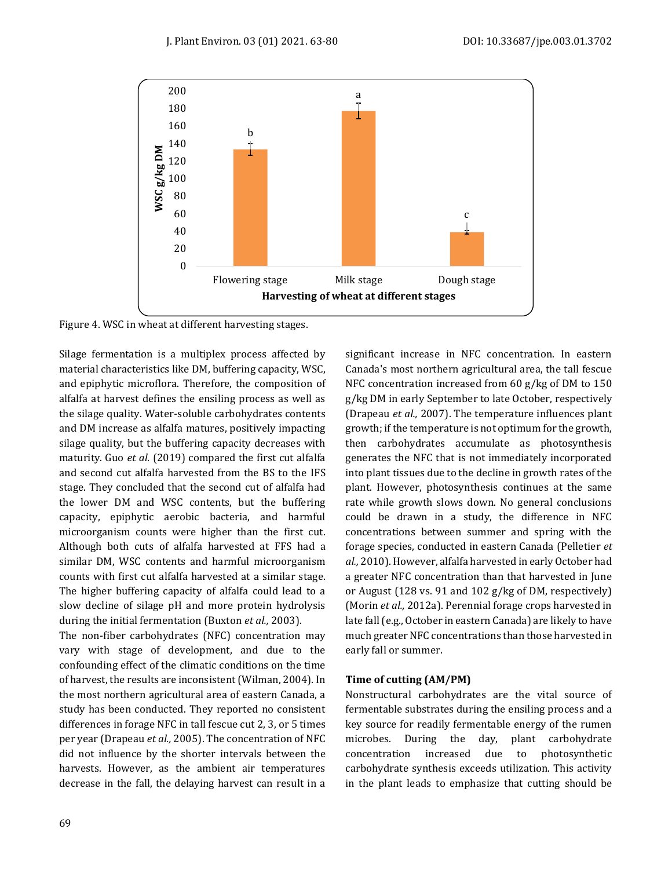

Figure 4. WSC in wheat at different harvesting stages.

Silage fermentation is a multiplex process affected by material characteristics like DM, buffering capacity, WSC, and epiphytic microflora. Therefore, the composition of alfalfa at harvest defines the ensiling process as well as the silage quality. Water-soluble carbohydrates contents and DM increase as alfalfa matures, positively impacting silage quality, but the buffering capacity decreases with maturity. Guo *et al.* (2019) compared the first cut alfalfa and second cut alfalfa harvested from the BS to the IFS stage. They concluded that the second cut of alfalfa had the lower DM and WSC contents, but the buffering capacity, epiphytic aerobic bacteria, and harmful microorganism counts were higher than the first cut. Although both cuts of alfalfa harvested at FFS had a similar DM, WSC contents and harmful microorganism counts with first cut alfalfa harvested at a similar stage. The higher buffering capacity of alfalfa could lead to a slow decline of silage pH and more protein hydrolysis during the initial fermentation (Buxton *et al.,* 2003).

The non-fiber carbohydrates (NFC) concentration may vary with stage of development, and due to the confounding effect of the climatic conditions on the time of harvest, the results are inconsistent (Wilman, 2004). In the most northern agricultural area of eastern Canada, a study has been conducted. They reported no consistent differences in forage NFC in tall fescue cut 2, 3, or 5 times per year (Drapeau *et al.,* 2005). The concentration of NFC did not influence by the shorter intervals between the harvests. However, as the ambient air temperatures decrease in the fall, the delaying harvest can result in a significant increase in NFC concentration. In eastern Canada's most northern agricultural area, the tall fescue NFC concentration increased from 60 g/kg of DM to 150 g/kg DM in early September to late October, respectively (Drapeau *et al.,* 2007). The temperature influences plant growth; if the temperature is not optimum for the growth, then carbohydrates accumulate as photosynthesis generates the NFC that is not immediately incorporated into plant tissues due to the decline in growth rates of the plant. However, photosynthesis continues at the same rate while growth slows down. No general conclusions could be drawn in a study, the difference in NFC concentrations between summer and spring with the forage species, conducted in eastern Canada (Pelletier *et al.,* 2010). However, alfalfa harvested in early October had a greater NFC concentration than that harvested in June or August (128 vs. 91 and 102 g/kg of DM, respectively) (Morin *et al.,* 2012a). Perennial forage crops harvested in late fall (e.g., October in eastern Canada) are likely to have much greater NFC concentrations than those harvested in early fall or summer.

## **Time of cutting (AM/PM)**

Nonstructural carbohydrates are the vital source of fermentable substrates during the ensiling process and a key source for readily fermentable energy of the rumen microbes. During the day, plant carbohydrate concentration increased due to photosynthetic carbohydrate synthesis exceeds utilization. This activity in the plant leads to emphasize that cutting should be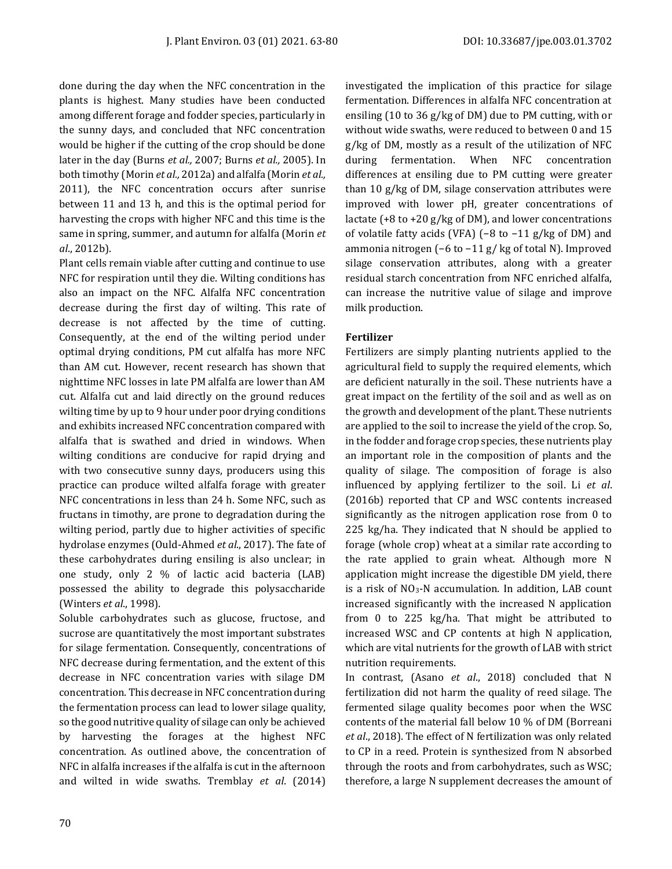done during the day when the NFC concentration in the plants is highest. Many studies have been conducted among different forage and fodder species, particularly in the sunny days, and concluded that NFC concentration would be higher if the cutting of the crop should be done later in the day (Burns *et al.,* 2007; Burns *et al.,* 2005). In both timothy (Morin *et al.,* 2012a) and alfalfa (Morin *et al.,* 2011), the NFC concentration occurs after sunrise between 11 and 13 h, and this is the optimal period for harvesting the crops with higher NFC and this time is the same in spring, summer, and autumn for alfalfa (Morin *et al*., 2012b).

Plant cells remain viable after cutting and continue to use NFC for respiration until they die. Wilting conditions has also an impact on the NFC. Alfalfa NFC concentration decrease during the first day of wilting. This rate of decrease is not affected by the time of cutting. Consequently, at the end of the wilting period under optimal drying conditions, PM cut alfalfa has more NFC than AM cut. However, recent research has shown that nighttime NFC losses in late PM alfalfa are lower than AM cut. Alfalfa cut and laid directly on the ground reduces wilting time by up to 9 hour under poor drying conditions and exhibits increased NFC concentration compared with alfalfa that is swathed and dried in windows. When wilting conditions are conducive for rapid drying and with two consecutive sunny days, producers using this practice can produce wilted alfalfa forage with greater NFC concentrations in less than 24 h. Some NFC, such as fructans in timothy, are prone to degradation during the wilting period, partly due to higher activities of specific hydrolase enzymes (Ould-Ahmed *et al*., 2017). The fate of these carbohydrates during ensiling is also unclear; in one study, only 2 % of lactic acid bacteria (LAB) possessed the ability to degrade this polysaccharide (Winters *et al*., 1998).

Soluble carbohydrates such as glucose, fructose, and sucrose are quantitatively the most important substrates for silage fermentation. Consequently, concentrations of NFC decrease during fermentation, and the extent of this decrease in NFC concentration varies with silage DM concentration. This decrease in NFC concentration during the fermentation process can lead to lower silage quality, so the good nutritive quality of silage can only be achieved by harvesting the forages at the highest NFC concentration. As outlined above, the concentration of NFC in alfalfa increases if the alfalfa is cut in the afternoon and wilted in wide swaths. Tremblay *et al*. (2014) investigated the implication of this practice for silage fermentation. Differences in alfalfa NFC concentration at ensiling (10 to 36 g/kg of DM) due to PM cutting, with or without wide swaths, were reduced to between 0 and 15 g/kg of DM, mostly as a result of the utilization of NFC during fermentation. When NFC concentration differences at ensiling due to PM cutting were greater than 10 g/kg of DM, silage conservation attributes were improved with lower pH, greater concentrations of lactate  $(+8 \text{ to } +20 \text{ g/kg of DM})$ , and lower concentrations of volatile fatty acids (VFA) (−8 to −11 g/kg of DM) and ammonia nitrogen (−6 to −11 g/ kg of total N). Improved silage conservation attributes, along with a greater residual starch concentration from NFC enriched alfalfa, can increase the nutritive value of silage and improve milk production.

## **Fertilizer**

Fertilizers are simply planting nutrients applied to the agricultural field to supply the required elements, which are deficient naturally in the soil. These nutrients have a great impact on the fertility of the soil and as well as on the growth and development of the plant. These nutrients are applied to the soil to increase the yield of the crop. So, in the fodder and forage crop species, these nutrients play an important role in the composition of plants and the quality of silage. The composition of forage is also influenced by applying fertilizer to the soil. Li *et al*. (2016b) reported that CP and WSC contents increased significantly as the nitrogen application rose from 0 to 225 kg/ha. They indicated that N should be applied to forage (whole crop) wheat at a similar rate according to the rate applied to grain wheat. Although more N application might increase the digestible DM yield, there is a risk of NO3-N accumulation. In addition, LAB count increased significantly with the increased N application from 0 to 225 kg/ha. That might be attributed to increased WSC and CP contents at high N application, which are vital nutrients for the growth of LAB with strict nutrition requirements.

In contrast, (Asano *et al*., 2018) concluded that N fertilization did not harm the quality of reed silage. The fermented silage quality becomes poor when the WSC contents of the material fall below 10 % of DM (Borreani *et al*., 2018). The effect of N fertilization was only related to CP in a reed. Protein is synthesized from N absorbed through the roots and from carbohydrates, such as WSC; therefore, a large N supplement decreases the amount of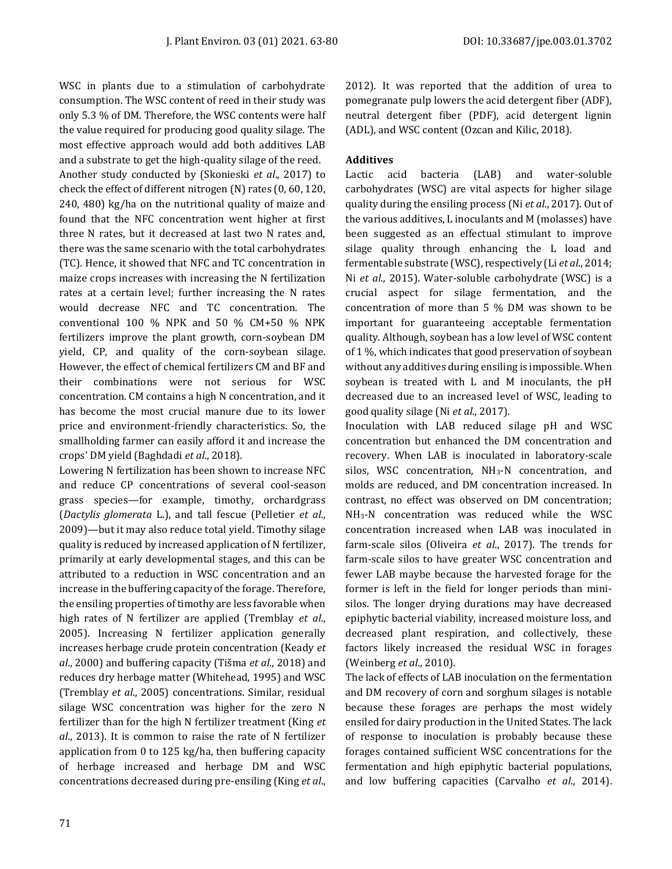WSC in plants due to a stimulation of carbohydrate consumption. The WSC content of reed in their study was only 5.3 % of DM. Therefore, the WSC contents were half the value required for producing good quality silage. The most effective approach would add both additives LAB and a substrate to get the high-quality silage of the reed. Another study conducted by (Skonieski *et al*., 2017) to check the effect of different nitrogen (N) rates (0, 60, 120, 240, 480) kg/ha on the nutritional quality of maize and found that the NFC concentration went higher at first three N rates, but it decreased at last two N rates and, there was the same scenario with the total carbohydrates (TC). Hence, it showed that NFC and TC concentration in maize crops increases with increasing the N fertilization rates at a certain level; further increasing the N rates would decrease NFC and TC concentration. The conventional 100 % NPK and 50 % CM+50 % NPK fertilizers improve the plant growth, corn-soybean DM yield, CP, and quality of the corn-soybean silage. However, the effect of chemical fertilizers CM and BF and their combinations were not serious for WSC concentration. CM contains a high N concentration, and it has become the most crucial manure due to its lower price and environment-friendly characteristics. So, the smallholding farmer can easily afford it and increase the crops' DM yield (Baghdadi *et al*., 2018).

Lowering N fertilization has been shown to increase NFC and reduce CP concentrations of several cool-season grass species—for example, timothy, orchardgrass (*Dactylis glomerata* L.), and tall fescue (Pelletier *et al*., 2009)—but it may also reduce total yield. Timothy silage quality is reduced by increased application of N fertilizer, primarily at early developmental stages, and this can be attributed to a reduction in WSC concentration and an increase in the buffering capacity of the forage. Therefore, the ensiling properties of timothy are less favorable when high rates of N fertilizer are applied (Tremblay *et al*., 2005). Increasing N fertilizer application generally increases herbage crude protein concentration (Keady *et al*., 2000) and buffering capacity (Tišma *et al*., 2018) and reduces dry herbage matter (Whitehead, 1995) and WSC (Tremblay *et al*., 2005) concentrations. Similar, residual silage WSC concentration was higher for the zero N fertilizer than for the high N fertilizer treatment (King *et al*., 2013). It is common to raise the rate of N fertilizer application from 0 to 125 kg/ha, then buffering capacity of herbage increased and herbage DM and WSC concentrations decreased during pre-ensiling (King *et al*., 2012). It was reported that the addition of urea to pomegranate pulp lowers the acid detergent fiber (ADF), neutral detergent fiber (PDF), acid detergent lignin (ADL), and WSC content (Ozcan and Kilic, 2018).

# **Additives**

Lactic acid bacteria (LAB) and water-soluble carbohydrates (WSC) are vital aspects for higher silage quality during the ensiling process (Ni *et al*., 2017). Out of the various additives, L inoculants and M (molasses) have been suggested as an effectual stimulant to improve silage quality through enhancing the L load and fermentable substrate (WSC), respectively (Li *et al*., 2014; Ni *et al*., 2015). Water-soluble carbohydrate (WSC) is a crucial aspect for silage fermentation, and the concentration of more than 5 % DM was shown to be important for guaranteeing acceptable fermentation quality. Although, soybean has a low level of WSC content of 1 %, which indicates that good preservation of soybean without any additives during ensiling is impossible. When soybean is treated with L and M inoculants, the pH decreased due to an increased level of WSC, leading to good quality silage (Ni *et al*., 2017).

Inoculation with LAB reduced silage pH and WSC concentration but enhanced the DM concentration and recovery. When LAB is inoculated in laboratory-scale silos, WSC concentration, NH3-N concentration, and molds are reduced, and DM concentration increased. In contrast, no effect was observed on DM concentration; NH3-N concentration was reduced while the WSC concentration increased when LAB was inoculated in farm-scale silos (Oliveira *et al*., 2017). The trends for farm-scale silos to have greater WSC concentration and fewer LAB maybe because the harvested forage for the former is left in the field for longer periods than minisilos. The longer drying durations may have decreased epiphytic bacterial viability, increased moisture loss, and decreased plant respiration, and collectively, these factors likely increased the residual WSC in forages (Weinberg *et al*., 2010).

The lack of effects of LAB inoculation on the fermentation and DM recovery of corn and sorghum silages is notable because these forages are perhaps the most widely ensiled for dairy production in the United States. The lack of response to inoculation is probably because these forages contained sufficient WSC concentrations for the fermentation and high epiphytic bacterial populations, and low buffering capacities (Carvalho *et al*., 2014).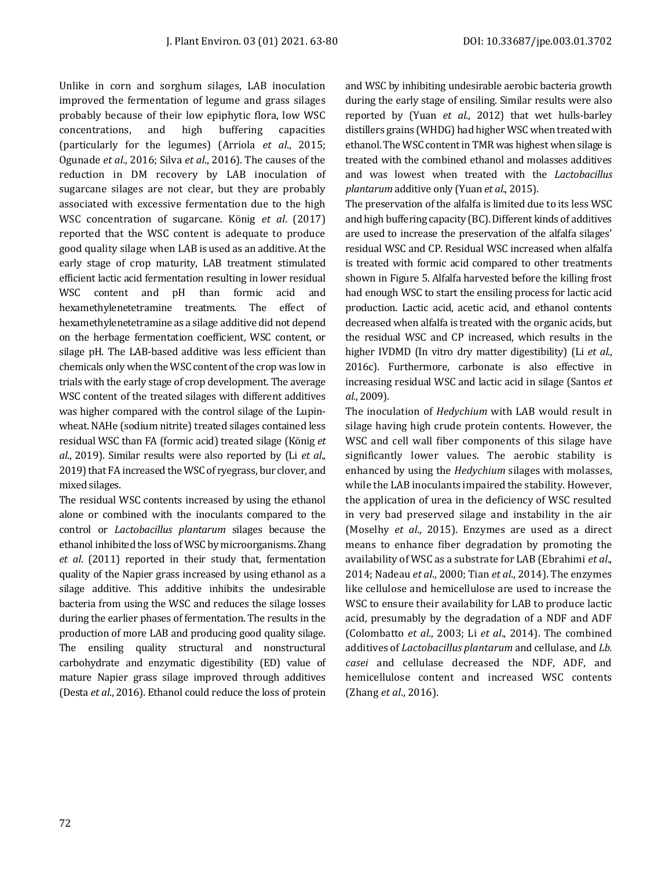Unlike in corn and sorghum silages, LAB inoculation improved the fermentation of legume and grass silages probably because of their low epiphytic flora, low WSC concentrations, and high buffering capacities (particularly for the legumes) (Arriola *et al*., 2015; Ogunade *et al*., 2016; Silva *et al*., 2016). The causes of the reduction in DM recovery by LAB inoculation of sugarcane silages are not clear, but they are probably associated with excessive fermentation due to the high WSC concentration of sugarcane. König *et al*. (2017) reported that the WSC content is adequate to produce good quality silage when LAB is used as an additive. At the early stage of crop maturity, LAB treatment stimulated efficient lactic acid fermentation resulting in lower residual WSC content and pH than formic acid and hexamethylenetetramine treatments. The effect of hexamethylenetetramine as a silage additive did not depend on the herbage fermentation coefficient, WSC content, or silage pH. The LAB-based additive was less efficient than chemicals only when the WSC content of the crop was low in trials with the early stage of crop development. The average WSC content of the treated silages with different additives was higher compared with the control silage of the Lupinwheat. NAHe (sodium nitrite) treated silages contained less residual WSC than FA (formic acid) treated silage (König *et al*., 2019). Similar results were also reported by (Li *et al*., 2019) that FA increased the WSC of ryegrass, bur clover, and mixed silages.

The residual WSC contents increased by using the ethanol alone or combined with the inoculants compared to the control or *Lactobacillus plantarum* silages because the ethanol inhibited the loss of WSC by microorganisms. Zhang *et al*. (2011) reported in their study that, fermentation quality of the Napier grass increased by using ethanol as a silage additive. This additive inhibits the undesirable bacteria from using the WSC and reduces the silage losses during the earlier phases of fermentation. The results in the production of more LAB and producing good quality silage. The ensiling quality structural and nonstructural carbohydrate and enzymatic digestibility (ED) value of mature Napier grass silage improved through additives (Desta *et al*., 2016). Ethanol could reduce the loss of protein

and WSC by inhibiting undesirable aerobic bacteria growth during the early stage of ensiling. Similar results were also reported by (Yuan *et al*., 2012) that wet hulls-barley distillers grains (WHDG) had higher WSC when treated with ethanol. The WSC content in TMR was highest when silage is treated with the combined ethanol and molasses additives and was lowest when treated with the *Lactobacillus plantarum* additive only (Yuan *et al*., 2015).

The preservation of the alfalfa is limited due to its less WSC and high buffering capacity (BC). Different kinds of additives are used to increase the preservation of the alfalfa silages' residual WSC and CP. Residual WSC increased when alfalfa is treated with formic acid compared to other treatments shown in Figure 5. Alfalfa harvested before the killing frost had enough WSC to start the ensiling process for lactic acid production. Lactic acid, acetic acid, and ethanol contents decreased when alfalfa is treated with the organic acids, but the residual WSC and CP increased, which results in the higher IVDMD (In vitro dry matter digestibility) (Li *et al*., 2016c). Furthermore, carbonate is also effective in increasing residual WSC and lactic acid in silage (Santos *et al*., 2009).

The inoculation of *Hedychium* with LAB would result in silage having high crude protein contents. However, the WSC and cell wall fiber components of this silage have significantly lower values. The aerobic stability is enhanced by using the *Hedychium* silages with molasses, while the LAB inoculants impaired the stability. However, the application of urea in the deficiency of WSC resulted in very bad preserved silage and instability in the air (Moselhy *et al*., 2015). Enzymes are used as a direct means to enhance fiber degradation by promoting the availability of WSC as a substrate for LAB (Ebrahimi *et al*., 2014; Nadeau *et al*., 2000; Tian *et al*., 2014). The enzymes like cellulose and hemicellulose are used to increase the WSC to ensure their availability for LAB to produce lactic acid, presumably by the degradation of a NDF and ADF (Colombatto *et al*., 2003; Li *et al*., 2014). The combined additives of *Lactobacillus plantarum* and cellulase, and *Lb. casei* and cellulase decreased the NDF, ADF, and hemicellulose content and increased WSC contents (Zhang *et al*., 2016).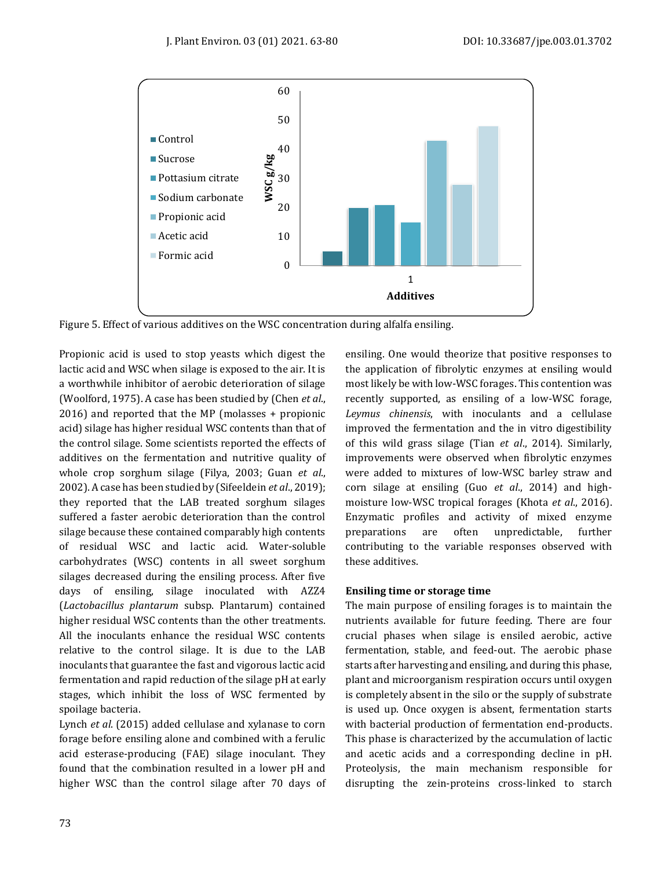

Figure 5. Effect of various additives on the WSC concentration during alfalfa ensiling.

Propionic acid is used to stop yeasts which digest the lactic acid and WSC when silage is exposed to the air. It is a worthwhile inhibitor of aerobic deterioration of silage (Woolford, 1975). A case has been studied by (Chen *et al*., 2016) and reported that the MP (molasses + propionic acid) silage has higher residual WSC contents than that of the control silage. Some scientists reported the effects of additives on the fermentation and nutritive quality of whole crop sorghum silage (Filya, 2003; Guan *et al*., 2002). A case has been studied by (Sifeeldein *et al*., 2019); they reported that the LAB treated sorghum silages suffered a faster aerobic deterioration than the control silage because these contained comparably high contents of residual WSC and lactic acid. Water-soluble carbohydrates (WSC) contents in all sweet sorghum silages decreased during the ensiling process. After five days of ensiling, silage inoculated with AZZ4 (*Lactobacillus plantarum* subsp. Plantarum) contained higher residual WSC contents than the other treatments. All the inoculants enhance the residual WSC contents relative to the control silage. It is due to the LAB inoculants that guarantee the fast and vigorous lactic acid fermentation and rapid reduction of the silage pH at early stages, which inhibit the loss of WSC fermented by spoilage bacteria.

Lynch *et al*. (2015) added cellulase and xylanase to corn forage before ensiling alone and combined with a ferulic acid esterase-producing (FAE) silage inoculant. They found that the combination resulted in a lower pH and higher WSC than the control silage after 70 days of ensiling. One would theorize that positive responses to the application of fibrolytic enzymes at ensiling would most likely be with low-WSC forages. This contention was recently supported, as ensiling of a low-WSC forage, *Leymus chinensis*, with inoculants and a cellulase improved the fermentation and the in vitro digestibility of this wild grass silage (Tian *et al*., 2014). Similarly, improvements were observed when fibrolytic enzymes were added to mixtures of low-WSC barley straw and corn silage at ensiling (Guo *et al*., 2014) and highmoisture low-WSC tropical forages (Khota *et al*., 2016). Enzymatic profiles and activity of mixed enzyme preparations are often unpredictable, further contributing to the variable responses observed with these additives.

## **Ensiling time or storage time**

The main purpose of ensiling forages is to maintain the nutrients available for future feeding. There are four crucial phases when silage is ensiled aerobic, active fermentation, stable, and feed-out. The aerobic phase starts after harvesting and ensiling, and during this phase, plant and microorganism respiration occurs until oxygen is completely absent in the silo or the supply of substrate is used up. Once oxygen is absent, fermentation starts with bacterial production of fermentation end-products. This phase is characterized by the accumulation of lactic and acetic acids and a corresponding decline in pH. Proteolysis, the main mechanism responsible for disrupting the zein-proteins cross-linked to starch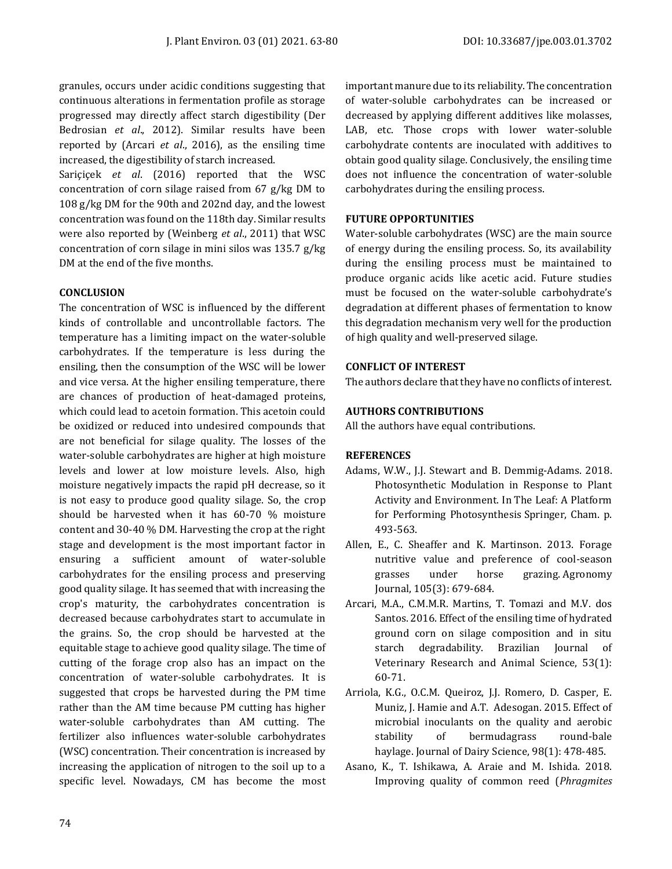granules, occurs under acidic conditions suggesting that continuous alterations in fermentation profile as storage progressed may directly affect starch digestibility (Der Bedrosian *et al*., 2012). Similar results have been reported by (Arcari *et al*., 2016), as the ensiling time increased, the digestibility of starch increased.

Sariçiçek *et al*. (2016) reported that the WSC concentration of corn silage raised from 67 g/kg DM to 108 g/kg DM for the 90th and 202nd day, and the lowest concentration was found on the 118th day. Similar results were also reported by (Weinberg *et al*., 2011) that WSC concentration of corn silage in mini silos was 135.7 g/kg DM at the end of the five months.

#### **CONCLUSION**

The concentration of WSC is influenced by the different kinds of controllable and uncontrollable factors. The temperature has a limiting impact on the water-soluble carbohydrates. If the temperature is less during the ensiling, then the consumption of the WSC will be lower and vice versa. At the higher ensiling temperature, there are chances of production of heat-damaged proteins, which could lead to acetoin formation. This acetoin could be oxidized or reduced into undesired compounds that are not beneficial for silage quality. The losses of the water-soluble carbohydrates are higher at high moisture levels and lower at low moisture levels. Also, high moisture negatively impacts the rapid pH decrease, so it is not easy to produce good quality silage. So, the crop should be harvested when it has 60-70 % moisture content and 30-40 % DM. Harvesting the crop at the right stage and development is the most important factor in ensuring a sufficient amount of water-soluble carbohydrates for the ensiling process and preserving good quality silage. It has seemed that with increasing the crop's maturity, the carbohydrates concentration is decreased because carbohydrates start to accumulate in the grains. So, the crop should be harvested at the equitable stage to achieve good quality silage. The time of cutting of the forage crop also has an impact on the concentration of water-soluble carbohydrates. It is suggested that crops be harvested during the PM time rather than the AM time because PM cutting has higher water-soluble carbohydrates than AM cutting. The fertilizer also influences water-soluble carbohydrates (WSC) concentration. Their concentration is increased by increasing the application of nitrogen to the soil up to a specific level. Nowadays, CM has become the most important manure due to its reliability. The concentration of water-soluble carbohydrates can be increased or decreased by applying different additives like molasses, LAB, etc. Those crops with lower water-soluble carbohydrate contents are inoculated with additives to obtain good quality silage. Conclusively, the ensiling time does not influence the concentration of water-soluble carbohydrates during the ensiling process.

## **FUTURE OPPORTUNITIES**

Water-soluble carbohydrates (WSC) are the main source of energy during the ensiling process. So, its availability during the ensiling process must be maintained to produce organic acids like acetic acid. Future studies must be focused on the water-soluble carbohydrate's degradation at different phases of fermentation to know this degradation mechanism very well for the production of high quality and well-preserved silage.

#### **CONFLICT OF INTEREST**

The authors declare that they have no conflicts of interest.

#### **AUTHORS CONTRIBUTIONS**

All the authors have equal contributions.

## **REFERENCES**

- Adams, W.W., J.J. Stewart and B. Demmig-Adams. 2018. Photosynthetic Modulation in Response to Plant Activity and Environment. In The Leaf: A Platform for Performing Photosynthesis Springer, Cham. p. 493-563.
- Allen, E., C. Sheaffer and K. Martinson. 2013. Forage nutritive value and preference of cool-season grasses under horse grazing. Agronomy Journal, 105(3): 679-684.
- Arcari, M.A., C.M.M.R. Martins, T. Tomazi and M.V. dos Santos. 2016. Effect of the ensiling time of hydrated ground corn on silage composition and in situ starch degradability. Brazilian Journal of Veterinary Research and Animal Science, 53(1): 60-71.
- Arriola, K.G., O.C.M. Queiroz, J.J. Romero, D. Casper, E. Muniz, J. Hamie and A.T. Adesogan. 2015. Effect of microbial inoculants on the quality and aerobic stability of bermudagrass round-bale haylage. Journal of Dairy Science, 98(1): 478-485.
- Asano, K., T. Ishikawa, A. Araie and M. Ishida. 2018. Improving quality of common reed (*Phragmites*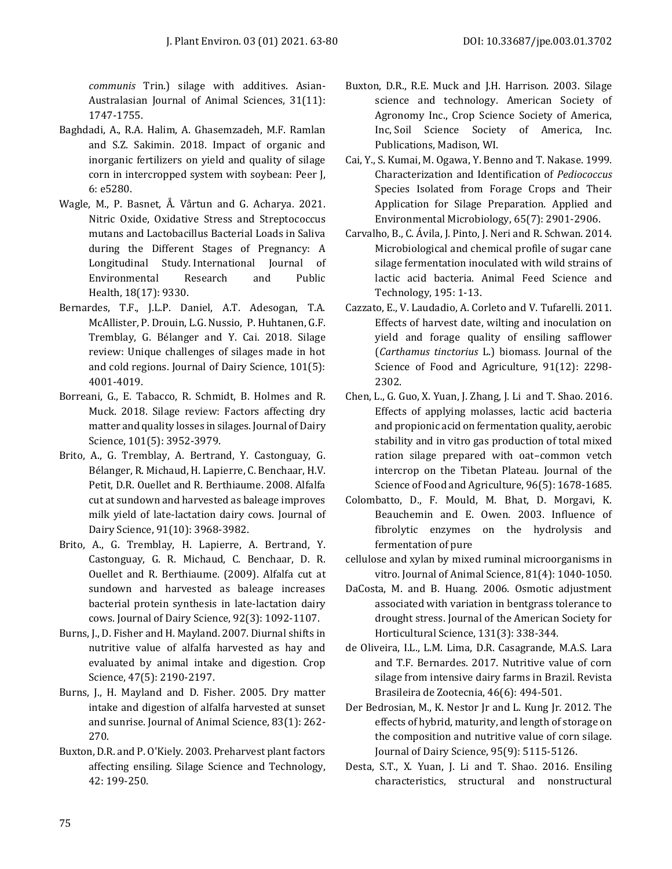*communis* Trin.) silage with additives. Asian-Australasian Journal of Animal Sciences, 31(11): 1747-1755.

- Baghdadi, A., R.A. Halim, A. Ghasemzadeh, M.F. Ramlan and S.Z. Sakimin. 2018. Impact of organic and inorganic fertilizers on yield and quality of silage corn in intercropped system with soybean: Peer J, 6: e5280.
- Wagle, M., P. Basnet, Å. Vårtun and G. Acharya. 2021. Nitric Oxide, Oxidative Stress and Streptococcus mutans and Lactobacillus Bacterial Loads in Saliva during the Different Stages of Pregnancy: A Longitudinal Study. International Journal of Environmental Research and Public Health, 18(17): 9330.
- Bernardes, T.F., J.L.P. Daniel, A.T. Adesogan, T.A. McAllister, P. Drouin, L.G. Nussio, P. Huhtanen, G.F. Tremblay, G. Bélanger and Y. Cai. 2018. Silage review: Unique challenges of silages made in hot and cold regions. Journal of Dairy Science, 101(5): 4001-4019.
- Borreani, G., E. Tabacco, R. Schmidt, B. Holmes and R. Muck. 2018. Silage review: Factors affecting dry matter and quality losses in silages. Journal of Dairy Science, 101(5): 3952-3979.
- Brito, A., G. Tremblay, A. Bertrand, Y. Castonguay, G. Bélanger, R. Michaud, H. Lapierre, C. Benchaar, H.V. Petit, D.R. Ouellet and R. Berthiaume. 2008. Alfalfa cut at sundown and harvested as baleage improves milk yield of late-lactation dairy cows. Journal of Dairy Science, 91(10): 3968-3982.
- Brito, A., G. Tremblay, H. Lapierre, A. Bertrand, Y. Castonguay, G. R. Michaud, C. Benchaar, D. R. Ouellet and R. Berthiaume. (2009). Alfalfa cut at sundown and harvested as baleage increases bacterial protein synthesis in late-lactation dairy cows. Journal of Dairy Science, 92(3): 1092-1107.
- Burns, J., D. Fisher and H. Mayland. 2007. Diurnal shifts in nutritive value of alfalfa harvested as hay and evaluated by animal intake and digestion. Crop Science, 47(5): 2190-2197.
- Burns, J., H. Mayland and D. Fisher. 2005. Dry matter intake and digestion of alfalfa harvested at sunset and sunrise. Journal of Animal Science, 83(1): 262- 270.
- Buxton, D.R. and P. O'Kiely. 2003. Preharvest plant factors affecting ensiling. Silage Science and Technology, 42: 199-250.
- Buxton, D.R., R.E. Muck and J.H. Harrison. 2003. Silage science and technology. American Society of Agronomy Inc., Crop Science Society of America, Inc, Soil Science Society of America, Inc. Publications, Madison, WI.
- Cai, Y., S. Kumai, M. Ogawa, Y. Benno and T. Nakase. 1999. Characterization and Identification of *Pediococcus* Species Isolated from Forage Crops and Their Application for Silage Preparation. Applied and Environmental Microbiology, 65(7): 2901-2906.
- Carvalho, B., C. Ávila, J. Pinto, J. Neri and R. Schwan. 2014. Microbiological and chemical profile of sugar cane silage fermentation inoculated with wild strains of lactic acid bacteria. Animal Feed Science and Technology, 195: 1-13.
- Cazzato, E., V. Laudadio, A. Corleto and V. Tufarelli. 2011. Effects of harvest date, wilting and inoculation on yield and forage quality of ensiling safflower (*Carthamus tinctorius* L.) biomass. Journal of the Science of Food and Agriculture, 91(12): 2298- 2302.
- Chen, L., G. Guo, X. Yuan, J. Zhang, J. Li and T. Shao. 2016. Effects of applying molasses, lactic acid bacteria and propionic acid on fermentation quality, aerobic stability and in vitro gas production of total mixed ration silage prepared with oat–common vetch intercrop on the Tibetan Plateau. Journal of the Science of Food and Agriculture, 96(5): 1678-1685.
- Colombatto, D., F. Mould, M. Bhat, D. Morgavi, K. Beauchemin and E. Owen. 2003. Influence of fibrolytic enzymes on the hydrolysis and fermentation of pure
- cellulose and xylan by mixed ruminal microorganisms in vitro. Journal of Animal Science, 81(4): 1040-1050.
- DaCosta, M. and B. Huang. 2006. Osmotic adjustment associated with variation in bentgrass tolerance to drought stress. Journal of the American Society for Horticultural Science, 131(3): 338-344.
- de Oliveira, I.L., L.M. Lima, D.R. Casagrande, M.A.S. Lara and T.F. Bernardes. 2017. Nutritive value of corn silage from intensive dairy farms in Brazil. Revista Brasileira de Zootecnia, 46(6): 494-501.
- Der Bedrosian, M., K. Nestor Jr and L. Kung Jr. 2012. The effects of hybrid, maturity, and length of storage on the composition and nutritive value of corn silage. Journal of Dairy Science, 95(9): 5115-5126.
- Desta, S.T., X. Yuan, J. Li and T. Shao. 2016. Ensiling characteristics, structural and nonstructural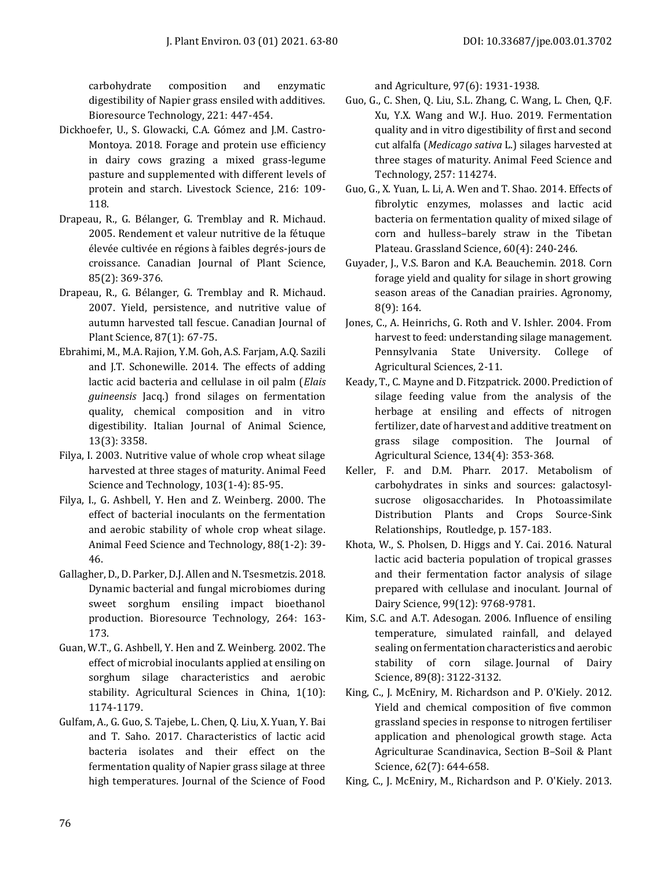carbohydrate composition and enzymatic digestibility of Napier grass ensiled with additives. Bioresource Technology, 221: 447-454.

- Dickhoefer, U., S. Glowacki, C.A. Gómez and J.M. Castro-Montoya. 2018. Forage and protein use efficiency in dairy cows grazing a mixed grass-legume pasture and supplemented with different levels of protein and starch. Livestock Science, 216: 109- 118.
- Drapeau, R., G. Bélanger, G. Tremblay and R. Michaud. 2005. Rendement et valeur nutritive de la fétuque élevée cultivée en régions à faibles degrés-jours de croissance. Canadian Journal of Plant Science, 85(2): 369-376.
- Drapeau, R., G. Bélanger, G. Tremblay and R. Michaud. 2007. Yield, persistence, and nutritive value of autumn harvested tall fescue. Canadian Journal of Plant Science, 87(1): 67-75.
- Ebrahimi, M., M.A. Rajion, Y.M. Goh, A.S. Farjam, A.Q. Sazili and J.T. Schonewille. 2014. The effects of adding lactic acid bacteria and cellulase in oil palm (*Elais guineensis* Jacq.) frond silages on fermentation quality, chemical composition and in vitro digestibility. Italian Journal of Animal Science, 13(3): 3358.
- Filya, I. 2003. Nutritive value of whole crop wheat silage harvested at three stages of maturity. Animal Feed Science and Technology, 103(1-4): 85-95.
- Filya, I., G. Ashbell, Y. Hen and Z. Weinberg. 2000. The effect of bacterial inoculants on the fermentation and aerobic stability of whole crop wheat silage. Animal Feed Science and Technology, 88(1-2): 39- 46.
- Gallagher, D., D. Parker, D.J. Allen and N. Tsesmetzis. 2018. Dynamic bacterial and fungal microbiomes during sweet sorghum ensiling impact bioethanol production. Bioresource Technology, 264: 163- 173.
- Guan, W.T., G. Ashbell, Y. Hen and Z. Weinberg. 2002. The effect of microbial inoculants applied at ensiling on sorghum silage characteristics and aerobic stability. Agricultural Sciences in China, 1(10): 1174-1179.
- Gulfam, A., G. Guo, S. Tajebe, L. Chen, Q. Liu, X. Yuan, Y. Bai and T. Saho. 2017. Characteristics of lactic acid bacteria isolates and their effect on the fermentation quality of Napier grass silage at three high temperatures. Journal of the Science of Food

and Agriculture, 97(6): 1931-1938.

- Guo, G., C. Shen, Q. Liu, S.L. Zhang, C. Wang, L. Chen, Q.F. Xu, Y.X. Wang and W.J. Huo. 2019. Fermentation quality and in vitro digestibility of first and second cut alfalfa (*Medicago sativa* L.) silages harvested at three stages of maturity. Animal Feed Science and Technology, 257: 114274.
- Guo, G., X. Yuan, L. Li, A. Wen and T. Shao. 2014. Effects of fibrolytic enzymes, molasses and lactic acid bacteria on fermentation quality of mixed silage of corn and hulless–barely straw in the Tibetan Plateau. Grassland Science, 60(4): 240-246.
- Guyader, J., V.S. Baron and K.A. Beauchemin. 2018. Corn forage yield and quality for silage in short growing season areas of the Canadian prairies. Agronomy, 8(9): 164.
- Jones, C., A. Heinrichs, G. Roth and V. Ishler. 2004. From harvest to feed: understanding silage management. Pennsylvania State University. College of Agricultural Sciences, 2-11.
- Keady, T., C. Mayne and D. Fitzpatrick. 2000. Prediction of silage feeding value from the analysis of the herbage at ensiling and effects of nitrogen fertilizer, date of harvest and additive treatment on grass silage composition. The Journal of Agricultural Science, 134(4): 353-368.
- Keller, F. and D.M. Pharr. 2017. Metabolism of carbohydrates in sinks and sources: galactosylsucrose oligosaccharides. In Photoassimilate Distribution Plants and Crops Source-Sink Relationships, Routledge, p. 157-183.
- Khota, W., S. Pholsen, D. Higgs and Y. Cai. 2016. Natural lactic acid bacteria population of tropical grasses and their fermentation factor analysis of silage prepared with cellulase and inoculant. Journal of Dairy Science, 99(12): 9768-9781.
- Kim, S.C. and A.T. Adesogan. 2006. Influence of ensiling temperature, simulated rainfall, and delayed sealing on fermentation characteristics and aerobic stability of corn silage. Journal of Dairy Science, 89(8): 3122-3132.
- King, C., J. McEniry, M. Richardson and P. O'Kiely. 2012. Yield and chemical composition of five common grassland species in response to nitrogen fertiliser application and phenological growth stage. Acta Agriculturae Scandinavica, Section B–Soil & Plant Science, 62(7): 644-658.
- King, C., J. McEniry, M., Richardson and P. O'Kiely. 2013.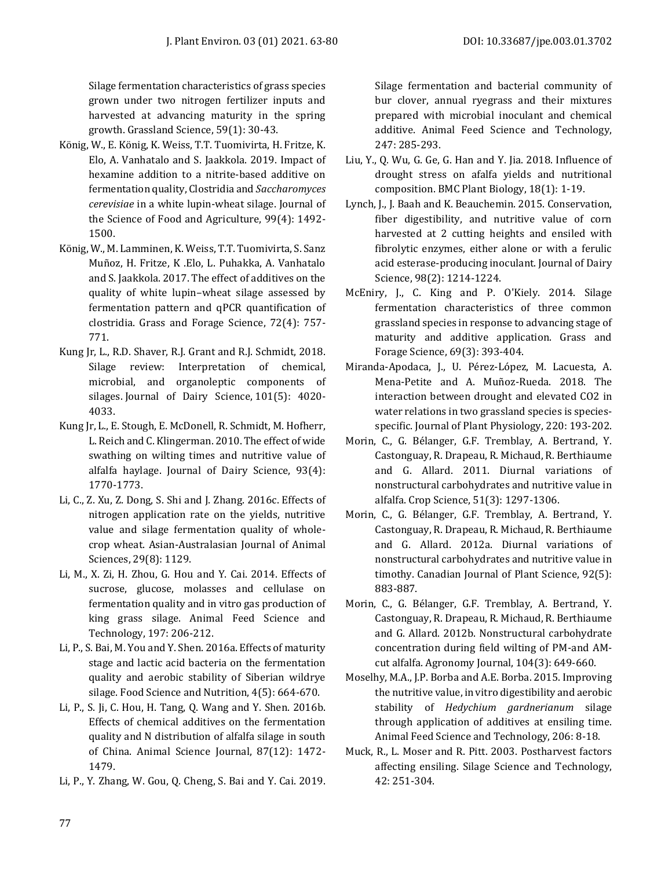Silage fermentation characteristics of grass species grown under two nitrogen fertilizer inputs and harvested at advancing maturity in the spring growth. Grassland Science, 59(1): 30-43.

- König, W., E. König, K. Weiss, T.T. Tuomivirta, H. Fritze, K. Elo, A. Vanhatalo and S. Jaakkola. 2019. Impact of hexamine addition to a nitrite‐based additive on fermentation quality, Clostridia and *Saccharomyces cerevisiae* in a white lupin‐wheat silage. Journal of the Science of Food and Agriculture, 99(4): 1492- 1500.
- König, W., M. Lamminen, K. Weiss, T.T. Tuomivirta, S. Sanz Muñoz, H. Fritze, K .Elo, L. Puhakka, A. Vanhatalo and S. Jaakkola. 2017. The effect of additives on the quality of white lupin–wheat silage assessed by fermentation pattern and qPCR quantification of clostridia. Grass and Forage Science, 72(4): 757- 771.
- Kung Jr, L., R.D. Shaver, R.J. Grant and R.J. Schmidt, 2018. Silage review: Interpretation of chemical, microbial, and organoleptic components of silages. Journal of Dairy Science, 101(5): 4020- 4033.
- Kung Jr, L., E. Stough, E. McDonell, R. Schmidt, M. Hofherr, L. Reich and C. Klingerman. 2010. The effect of wide swathing on wilting times and nutritive value of alfalfa haylage. Journal of Dairy Science, 93(4): 1770-1773.
- Li, C., Z. Xu, Z. Dong, S. Shi and J. Zhang. 2016c. Effects of nitrogen application rate on the yields, nutritive value and silage fermentation quality of wholecrop wheat. Asian-Australasian Journal of Animal Sciences, 29(8): 1129.
- Li, M., X. Zi, H. Zhou, G. Hou and Y. Cai. 2014. Effects of sucrose, glucose, molasses and cellulase on fermentation quality and in vitro gas production of king grass silage. Animal Feed Science and Technology, 197: 206-212.
- Li, P., S. Bai, M. You and Y. Shen. 2016a. Effects of maturity stage and lactic acid bacteria on the fermentation quality and aerobic stability of Siberian wildrye silage. Food Science and Nutrition, 4(5): 664-670.
- Li, P., S. Ji, C. Hou, H. Tang, Q. Wang and Y. Shen. 2016b. Effects of chemical additives on the fermentation quality and N distribution of alfalfa silage in south of China. Animal Science Journal, 87(12): 1472- 1479.
- Li, P., Y. Zhang, W. Gou, Q. Cheng, S. Bai and Y. Cai. 2019.

Silage fermentation and bacterial community of bur clover, annual ryegrass and their mixtures prepared with microbial inoculant and chemical additive. Animal Feed Science and Technology, 247: 285-293.

- Liu, Y., Q. Wu, G. Ge, G. Han and Y. Jia. 2018. Influence of drought stress on afalfa yields and nutritional composition. BMC Plant Biology, 18(1): 1-19.
- Lynch, J., J. Baah and K. Beauchemin. 2015. Conservation, fiber digestibility, and nutritive value of corn harvested at 2 cutting heights and ensiled with fibrolytic enzymes, either alone or with a ferulic acid esterase-producing inoculant. Journal of Dairy Science, 98(2): 1214-1224.
- McEniry, J., C. King and P. O'Kiely. 2014. Silage fermentation characteristics of three common grassland species in response to advancing stage of maturity and additive application. Grass and Forage Science, 69(3): 393-404.
- Miranda-Apodaca, J., U. Pérez-López, M. Lacuesta, A. Mena-Petite and A. Muñoz-Rueda. 2018. The interaction between drought and elevated CO2 in water relations in two grassland species is speciesspecific. Journal of Plant Physiology, 220: 193-202.
- Morin, C., G. Bélanger, G.F. Tremblay, A. Bertrand, Y. Castonguay, R. Drapeau, R. Michaud, R. Berthiaume and G. Allard. 2011. Diurnal variations of nonstructural carbohydrates and nutritive value in alfalfa. Crop Science, 51(3): 1297-1306.
- Morin, C., G. Bélanger, G.F. Tremblay, A. Bertrand, Y. Castonguay, R. Drapeau, R. Michaud, R. Berthiaume and G. Allard. 2012a. Diurnal variations of nonstructural carbohydrates and nutritive value in timothy. Canadian Journal of Plant Science, 92(5): 883-887.
- Morin, C., G. Bélanger, G.F. Tremblay, A. Bertrand, Y. Castonguay, R. Drapeau, R. Michaud, R. Berthiaume and G. Allard. 2012b. Nonstructural carbohydrate concentration during field wilting of PM-and AMcut alfalfa. Agronomy Journal, 104(3): 649-660.
- Moselhy, M.A., J.P. Borba and A.E. Borba. 2015. Improving the nutritive value, in vitro digestibility and aerobic stability of *Hedychium gardnerianum* silage through application of additives at ensiling time. Animal Feed Science and Technology, 206: 8-18.
- Muck, R., L. Moser and R. Pitt. 2003. Postharvest factors affecting ensiling. Silage Science and Technology, 42: 251-304.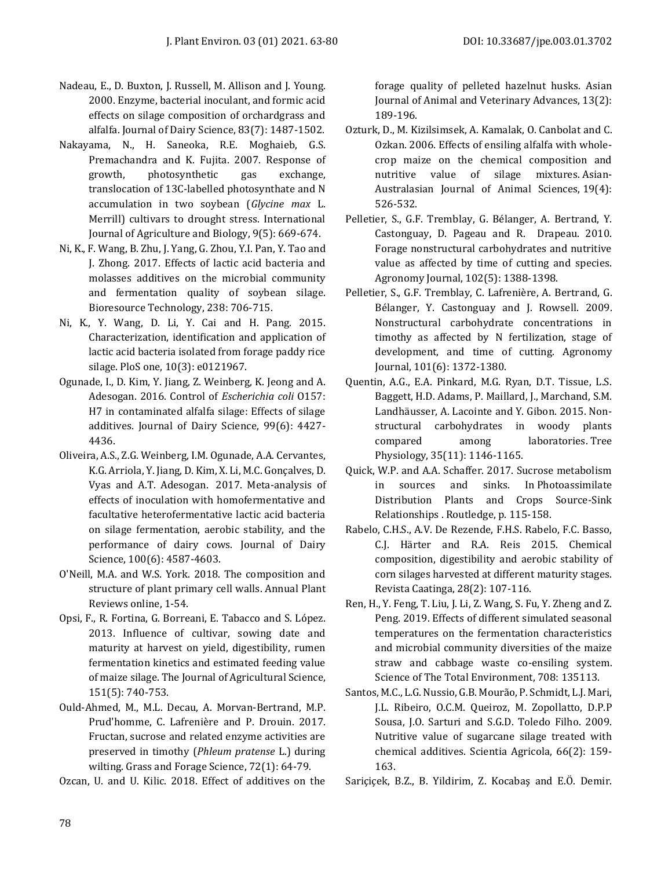- Nadeau, E., D. Buxton, J. Russell, M. Allison and J. Young. 2000. Enzyme, bacterial inoculant, and formic acid effects on silage composition of orchardgrass and alfalfa. Journal of Dairy Science, 83(7): 1487-1502.
- Nakayama, N., H. Saneoka, R.E. Moghaieb, G.S. Premachandra and K. Fujita. 2007. Response of growth, photosynthetic gas exchange, translocation of 13C-labelled photosynthate and N accumulation in two soybean (*Glycine max* L. Merrill) cultivars to drought stress. International Journal of Agriculture and Biology, 9(5): 669-674.
- Ni, K., F. Wang, B. Zhu, J. Yang, G. Zhou, Y.I. Pan, Y. Tao and J. Zhong. 2017. Effects of lactic acid bacteria and molasses additives on the microbial community and fermentation quality of soybean silage. Bioresource Technology, 238: 706-715.
- Ni, K., Y. Wang, D. Li, Y. Cai and H. Pang. 2015. Characterization, identification and application of lactic acid bacteria isolated from forage paddy rice silage. PloS one, 10(3): e0121967.
- Ogunade, I., D. Kim, Y. Jiang, Z. Weinberg, K. Jeong and A. Adesogan. 2016. Control of *Escherichia coli* O157: H7 in contaminated alfalfa silage: Effects of silage additives. Journal of Dairy Science, 99(6): 4427- 4436.
- Oliveira, A.S., Z.G. Weinberg, I.M. Ogunade, A.A. Cervantes, K.G. Arriola, Y. Jiang, D. Kim, X. Li, M.C. Gonçalves, D. Vyas and A.T. Adesogan. 2017. Meta-analysis of effects of inoculation with homofermentative and facultative heterofermentative lactic acid bacteria on silage fermentation, aerobic stability, and the performance of dairy cows. Journal of Dairy Science, 100(6): 4587-4603.
- O'Neill, M.A. and W.S. York. 2018. The composition and structure of plant primary cell walls. Annual Plant Reviews online, 1-54.
- Opsi, F., R. Fortina, G. Borreani, E. Tabacco and S. López. 2013. Influence of cultivar, sowing date and maturity at harvest on yield, digestibility, rumen fermentation kinetics and estimated feeding value of maize silage. The Journal of Agricultural Science, 151(5): 740-753.
- Ould‐Ahmed, M., M.L. Decau, A. Morvan‐Bertrand, M.P. Prud'homme, C. Lafrenière and P. Drouin. 2017. Fructan, sucrose and related enzyme activities are preserved in timothy (*Phleum pratense* L.) during wilting. Grass and Forage Science, 72(1): 64-79.

Ozcan, U. and U. Kilic. 2018. Effect of additives on the

forage quality of pelleted hazelnut husks. Asian Journal of Animal and Veterinary Advances, 13(2): 189-196.

- Ozturk, D., M. Kizilsimsek, A. Kamalak, O. Canbolat and C. Ozkan. 2006. Effects of ensiling alfalfa with wholecrop maize on the chemical composition and nutritive value of silage mixtures. Asian-Australasian Journal of Animal Sciences, 19(4): 526-532.
- Pelletier, S., G.F. Tremblay, G. Bélanger, A. Bertrand, Y. Castonguay, D. Pageau and R. Drapeau. 2010. Forage nonstructural carbohydrates and nutritive value as affected by time of cutting and species. Agronomy Journal, 102(5): 1388-1398.
- Pelletier, S., G.F. Tremblay, C. Lafrenière, A. Bertrand, G. Bélanger, Y. Castonguay and J. Rowsell. 2009. Nonstructural carbohydrate concentrations in timothy as affected by N fertilization, stage of development, and time of cutting. Agronomy Journal, 101(6): 1372-1380.
- Quentin, A.G., E.A. Pinkard, M.G. Ryan, D.T. Tissue, L.S. Baggett, H.D. Adams, P. Maillard, J., Marchand, S.M. Landhäusser, A. Lacointe and Y. Gibon. 2015. Nonstructural carbohydrates in woody plants compared among laboratories. Tree Physiology, 35(11): 1146-1165.
- Quick, W.P. and A.A. Schaffer. 2017. Sucrose metabolism in sources and sinks. In Photoassimilate Distribution Plants and Crops Source-Sink Relationships . Routledge, p. 115-158.
- Rabelo, C.H.S., A.V. De Rezende, F.H.S. Rabelo, F.C. Basso, C.J. Härter and R.A. Reis 2015. Chemical composition, digestibility and aerobic stability of corn silages harvested at different maturity stages. Revista Caatinga, 28(2): 107-116.
- Ren, H., Y. Feng, T. Liu, J. Li, Z. Wang, S. Fu, Y. Zheng and Z. Peng. 2019. Effects of different simulated seasonal temperatures on the fermentation characteristics and microbial community diversities of the maize straw and cabbage waste co-ensiling system. Science of The Total Environment, 708: 135113.
- Santos, M.C., L.G. Nussio, G.B. Mourão, P. Schmidt, L.J. Mari, J.L. Ribeiro, O.C.M. Queiroz, M. Zopollatto, D.P.P Sousa, J.O. Sarturi and S.G.D. Toledo Filho. 2009. Nutritive value of sugarcane silage treated with chemical additives. Scientia Agricola, 66(2): 159- 163.
- Sariçiçek, B.Z., B. Yildirim, Z. Kocabaş and E.Ö. Demir.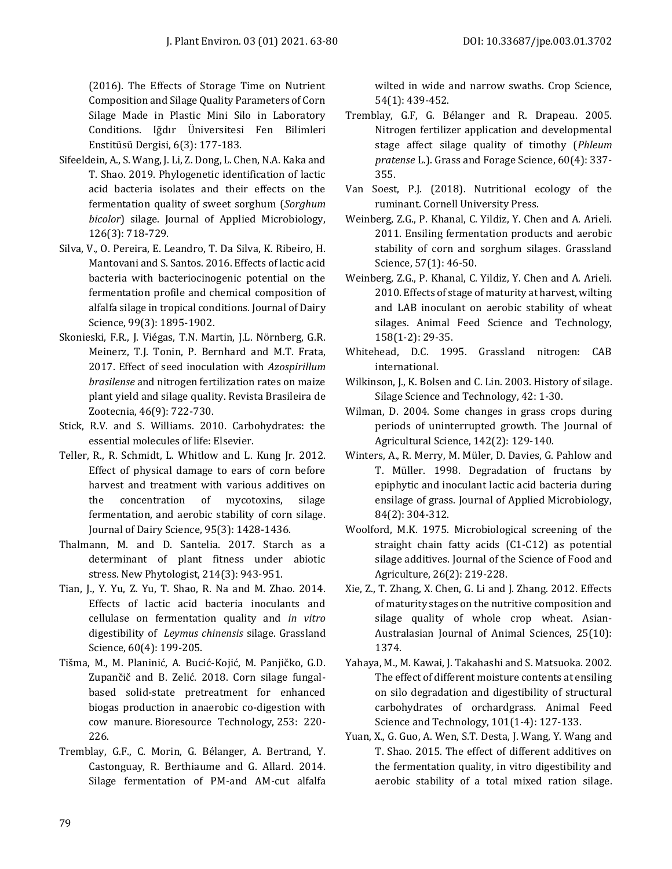(2016). The Effects of Storage Time on Nutrient Composition and Silage Quality Parameters of Corn Silage Made in Plastic Mini Silo in Laboratory Conditions. Iğdır Üniversitesi Fen Bilimleri Enstitüsü Dergisi, 6(3): 177-183.

- Sifeeldein, A., S. Wang, J. Li, Z. Dong, L. Chen, N.A. Kaka and T. Shao. 2019. Phylogenetic identification of lactic acid bacteria isolates and their effects on the fermentation quality of sweet sorghum (*Sorghum bicolor*) silage. Journal of Applied Microbiology, 126(3): 718-729.
- Silva, V., O. Pereira, E. Leandro, T. Da Silva, K. Ribeiro, H. Mantovani and S. Santos. 2016. Effects of lactic acid bacteria with bacteriocinogenic potential on the fermentation profile and chemical composition of alfalfa silage in tropical conditions. Journal of Dairy Science, 99(3): 1895-1902.
- Skonieski, F.R., J. Viégas, T.N. Martin, J.L. Nörnberg, G.R. Meinerz, T.J. Tonin, P. Bernhard and M.T. Frata, 2017. Effect of seed inoculation with *Azospirillum brasilense* and nitrogen fertilization rates on maize plant yield and silage quality. Revista Brasileira de Zootecnia, 46(9): 722-730.
- Stick, R.V. and S. Williams. 2010. Carbohydrates: the essential molecules of life: Elsevier.
- Teller, R., R. Schmidt, L. Whitlow and L. Kung Jr. 2012. Effect of physical damage to ears of corn before harvest and treatment with various additives on the concentration of mycotoxins, silage fermentation, and aerobic stability of corn silage. Journal of Dairy Science, 95(3): 1428-1436.
- Thalmann, M. and D. Santelia. 2017. Starch as a determinant of plant fitness under abiotic stress. New Phytologist, 214(3): 943-951.
- Tian, J., Y. Yu, Z. Yu, T. Shao, R. Na and M. Zhao. 2014. Effects of lactic acid bacteria inoculants and cellulase on fermentation quality and *in vitro* digestibility of *Leymus chinensis* silage. Grassland Science, 60(4): 199-205.
- Tišma, M., M. Planinić, A. Bucić-Kojić, M. Panjičko, G.D. Zupančič and B. Zelić. 2018. Corn silage fungalbased solid-state pretreatment for enhanced biogas production in anaerobic co-digestion with cow manure. Bioresource Technology, 253: 220- 226.
- Tremblay, G.F., C. Morin, G. Bélanger, A. Bertrand, Y. Castonguay, R. Berthiaume and G. Allard. 2014. Silage fermentation of PM-and AM-cut alfalfa

wilted in wide and narrow swaths. Crop Science, 54(1): 439-452.

- Tremblay, G.F, G. Bélanger and R. Drapeau. 2005. Nitrogen fertilizer application and developmental stage affect silage quality of timothy (*Phleum pratense* L.). Grass and Forage Science, 60(4): 337- 355.
- Van Soest, P.J. (2018). Nutritional ecology of the ruminant. Cornell University Press.
- Weinberg, Z.G., P. Khanal, C. Yildiz, Y. Chen and A. Arieli. 2011. Ensiling fermentation products and aerobic stability of corn and sorghum silages. Grassland Science, 57(1): 46-50.
- Weinberg, Z.G., P. Khanal, C. Yildiz, Y. Chen and A. Arieli. 2010. Effects of stage of maturity at harvest, wilting and LAB inoculant on aerobic stability of wheat silages. Animal Feed Science and Technology, 158(1-2): 29-35.
- Whitehead, D.C. 1995. Grassland nitrogen: CAB international.
- Wilkinson, J., K. Bolsen and C. Lin. 2003. History of silage. Silage Science and Technology, 42: 1-30.
- Wilman, D. 2004. Some changes in grass crops during periods of uninterrupted growth. The Journal of Agricultural Science, 142(2): 129-140.
- Winters, A., R. Merry, M. Müler, D. Davies, G. Pahlow and T. Müller. 1998. Degradation of fructans by epiphytic and inoculant lactic acid bacteria during ensilage of grass. Journal of Applied Microbiology, 84(2): 304-312.
- Woolford, M.K. 1975. Microbiological screening of the straight chain fatty acids (C1‐C12) as potential silage additives. Journal of the Science of Food and Agriculture, 26(2): 219-228.
- Xie, Z., T. Zhang, X. Chen, G. Li and J. Zhang. 2012. Effects of maturity stages on the nutritive composition and silage quality of whole crop wheat. Asian-Australasian Journal of Animal Sciences, 25(10): 1374.
- Yahaya, M., M. Kawai, J. Takahashi and S. Matsuoka. 2002. The effect of different moisture contents at ensiling on silo degradation and digestibility of structural carbohydrates of orchardgrass. Animal Feed Science and Technology, 101(1-4): 127-133.
- Yuan, X., G. Guo, A. Wen, S.T. Desta, J. Wang, Y. Wang and T. Shao. 2015. The effect of different additives on the fermentation quality, in vitro digestibility and aerobic stability of a total mixed ration silage.